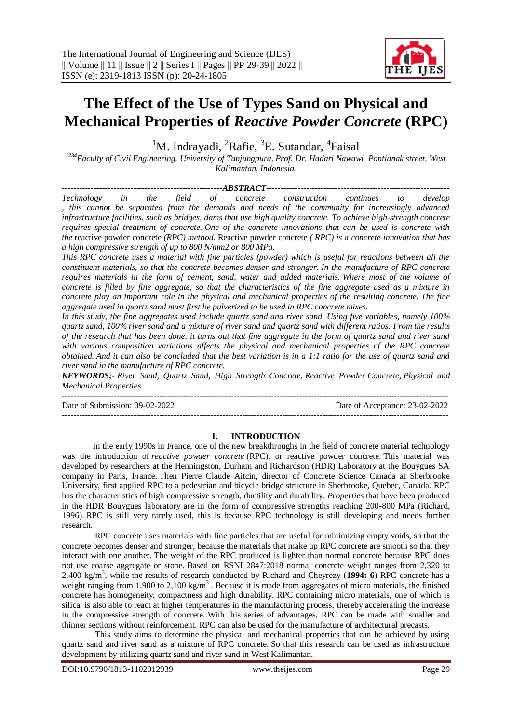# **The Effect of the Use of Types Sand on Physical and Mechanical Properties of** *Reactive Powder Concrete* **(RPC)**

<sup>1</sup>M. Indrayadi, <sup>2</sup>Rafie, <sup>3</sup>E. Sutandar, <sup>4</sup>Faisal

*<sup>1234</sup>Faculty of Civil Engineering, University of Tanjungpura, Prof. Dr. Hadari Nawawi Pontianak street, West Kalimantan, Indonesia.*

*--------------------------------------------------------ABSTRACT---------------------------------------------------------------- Technology in the field of concrete construction continues to develop , this cannot be separated from the demands and needs of the community for increasingly advanced infrastructure facilities, such as bridges, dams that use high quality concrete. To achieve high-strength concrete requires special treatment of concrete. One of the concrete innovations that can be used is concrete with the* reactive powder concrete *(RPC) method.* Reactive powder concrete *( RPC) is a concrete innovation that has a high compressive strength of up to 800 N/mm2 or 800 MPa. This RPC concrete uses a material with fine particles (powder) which is useful for reactions between all the constituent materials, so that the concrete becomes denser and stronger. In the manufacture of RPC concrete requires materials in the form of cement, sand, water and added materials. Where most of the volume of concrete is filled by fine aggregate, so that the characteristics of the fine aggregate used as a mixture in* 

*aggregate used in quartz sand must first be pulverized to be used in RPC concrete mixes. In this study, the fine aggregates used include quartz sand and river sand. Using five variables, namely 100% quartz sand, 100% river sand and a mixture of river sand and quartz sand with different ratios. From the results of the research that has been done, it turns out that fine aggregate in the form of quartz sand and river sand with various composition variations affects the physical and mechanical properties of the RPC concrete obtained. And it can also be concluded that the best variation is in a 1:1 ratio for the use of quartz sand and river sand in the manufacture of RPC concrete.*

*concrete play an important role in the physical and mechanical properties of the resulting concrete. The fine* 

*KEYWORDS;- River Sand, Quartz Sand, High Strength Concrete, Reactive Powder Concrete, Physical and Mechanical Properties*

--------------------------------------------------------------------------------------------------------------------------------------- Date of Submission: 09-02-2022 Date of Acceptance: 23-02-2022 ---------------------------------------------------------------------------------------------------------------------------------------

#### **I. INTRODUCTION**

In the early 1990s in France, one of the new breakthroughs in the field of concrete material technology was the introduction of *reactive powder concrete* (RPC), or reactive powder concrete. This material was developed by researchers at the Henningston, Durham and Richardson (HDR) Laboratory at the Bouygues SA company in Paris, France. Then Pierre Claude Aitcin, director of Concrete Science Canada at Sherbrooke University, first applied RPC to a pedestrian and bicycle bridge structure in Sherbrooke, Quebec, Canada. RPC has the characteristics of high compressive strength, ductility and durability. *Properties* that have been produced in the HDR Bouygues laboratory are in the form of compressive strengths reaching 200-800 MPa (Richard, 1996). RPC is still very rarely used, this is because RPC technology is still developing and needs further research.

RPC concrete uses materials with fine particles that are useful for minimizing empty voids, so that the concrete becomes denser and stronger, because the materials that make up RPC concrete are smooth so that they interact with one another. The weight of the RPC produced is lighter than normal concrete because RPC does not use coarse aggregate or stone. Based on RSNI 2847:2018 normal concrete weight ranges from 2,320 to 2,400 kg/m<sup>3</sup> , while the results of research conducted by Richard and Cheyrezy (**1994: 6**) RPC concrete has a weight ranging from 1,900 to 2,100 kg/m<sup>3</sup>. Because it is made from aggregates of micro materials, the finished concrete has homogeneity, compactness and high durability. RPC containing micro materials, one of which is silica, is also able to react at higher temperatures in the manufacturing process, thereby accelerating the increase in the compressive strength of concrete. With this series of advantages, RPC can be made with smaller and thinner sections without reinforcement. RPC can also be used for the manufacture of architectural precasts.

This study aims to determine the physical and mechanical properties that can be achieved by using quartz sand and river sand as a mixture of RPC concrete. So that this research can be used as infrastructure development by utilizing quartz sand and river sand in West Kalimantan.

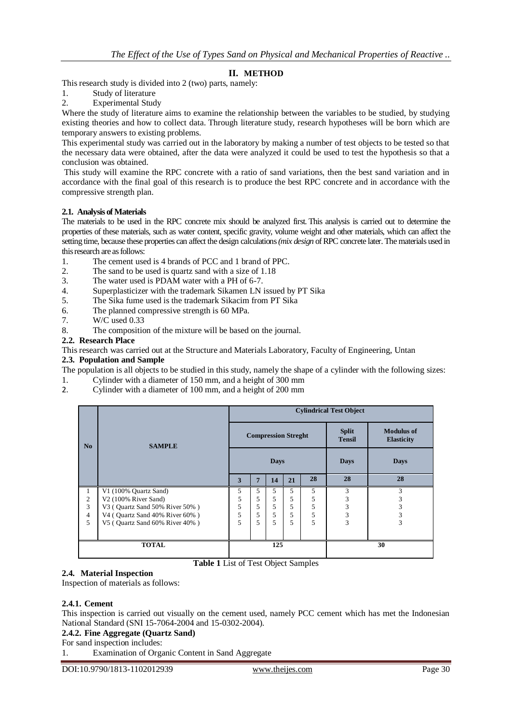## **II. METHOD**

This research study is divided into 2 (two) parts, namely:

- 1. Study of literature
- 2. Experimental Study

Where the study of literature aims to examine the relationship between the variables to be studied, by studying existing theories and how to collect data. Through literature study, research hypotheses will be born which are temporary answers to existing problems.

This experimental study was carried out in the laboratory by making a number of test objects to be tested so that the necessary data were obtained, after the data were analyzed it could be used to test the hypothesis so that a conclusion was obtained.

This study will examine the RPC concrete with a ratio of sand variations, then the best sand variation and in accordance with the final goal of this research is to produce the best RPC concrete and in accordance with the compressive strength plan.

### **2.1. Analysis of Materials**

The materials to be used in the RPC concrete mix should be analyzed first. This analysis is carried out to determine the properties of these materials, such as water content, specific gravity, volume weight and other materials, which can affect the setting time, because these properties can affect the design calculations*(mix design* of RPC concrete later. The materials used in this research are as follows:

- 1. The cement used is 4 brands of PCC and 1 brand of PPC.
- 2. The sand to be used is quartz sand with a size of 1.18
- 3. The water used is PDAM water with a PH of 6-7.
- 4. Superplasticizer with the trademark Sikamen LN issued by PT Sika
- 5. The Sika fume used is the trademark Sikacim from PT Sika
- 6. The planned compressive strength is 60 MPa.
- 7. W/C used 0.33
- 8. The composition of the mixture will be based on the journal.

## **2.2. Research Place**

This research was carried out at the Structure and Materials Laboratory, Faculty of Engineering, Untan

#### **2.3. Population and Sample**

The population is all objects to be studied in this study, namely the shape of a cylinder with the following sizes:

- 1. Cylinder with a diameter of 150 mm, and a height of 300 mm
- 2. Cylinder with a diameter of 100 mm, and a height of 200 mm

|                | <b>SAMPLE</b>                  | <b>Cylindrical Test Object</b> |   |     |    |             |                               |                                        |
|----------------|--------------------------------|--------------------------------|---|-----|----|-------------|-------------------------------|----------------------------------------|
| No             |                                | <b>Compression Streght</b>     |   |     |    |             | <b>Split</b><br><b>Tensil</b> | <b>Modulus of</b><br><b>Elasticity</b> |
|                |                                | <b>Days</b>                    |   |     |    | <b>Days</b> | <b>Days</b>                   |                                        |
|                |                                | 3                              | 7 | 14  | 21 | 28          | 28                            | 28                                     |
| 1              | V1 (100% Quartz Sand)          | 5                              | 5 | 5   | 5  | 5           | 3                             | 3                                      |
| 2              | $V2(100\%$ River Sand)         | 5                              | 5 | 5   | 5  | 5           | 3                             | 3                                      |
| 3              | V3 (Quartz Sand 50% River 50%) | 5                              | 5 | 5   | 5  | 5           | 3                             | 3                                      |
| $\overline{4}$ | V4 (Ouartz Sand 40% River 60%) | 5                              | 5 | 5   | 5  | 5           | 3                             | 3                                      |
| 5              | V5 (Quartz Sand 60% River 40%) | 5                              | 5 | 5   | 5  | 5           | 3                             | 3                                      |
|                |                                |                                |   |     |    |             |                               |                                        |
|                | <b>TOTAL</b>                   |                                |   | 125 |    |             |                               | 30                                     |

## **2.4. Material Inspection**

Inspection of materials as follows:

#### **2.4.1. Cement**

This inspection is carried out visually on the cement used, namely PCC cement which has met the Indonesian National Standard (SNI 15-7064-2004 and 15-0302-2004).

**Table 1** List of Test Object Samples

### **2.4.2. Fine Aggregate (Quartz Sand)**

For sand inspection includes:

1. Examination of Organic Content in Sand Aggregate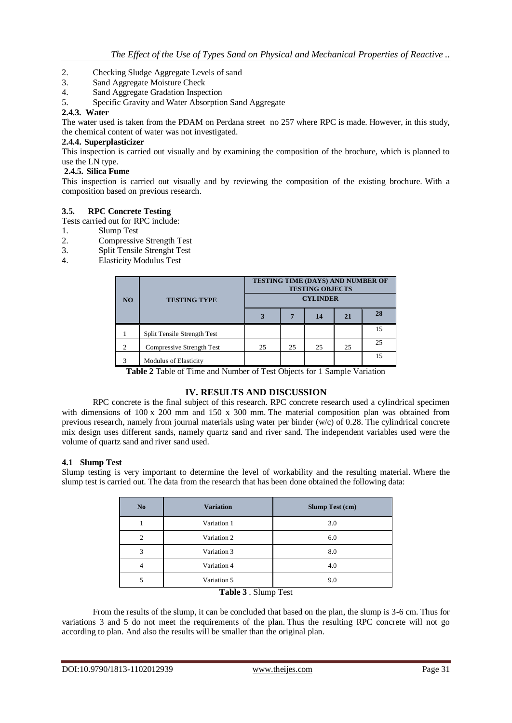- 2. Checking Sludge Aggregate Levels of sand
- 3. Sand Aggregate Moisture Check
- 4. Sand Aggregate Gradation Inspection

5. Specific Gravity and Water Absorption Sand Aggregate

### **2.4.3. Water**

The water used is taken from the PDAM on Perdana street no 257 where RPC is made. However, in this study, the chemical content of water was not investigated.

## **2.4.4. Superplasticizer**

This inspection is carried out visually and by examining the composition of the brochure, which is planned to use the LN type.

## **2.4.5. Silica Fume**

This inspection is carried out visually and by reviewing the composition of the existing brochure. With a composition based on previous research.

### **3.5. RPC Concrete Testing**

Tests carried out for RPC include:

- 1. Slump Test
- 2. Compressive Strength Test
- 3. Split Tensile Strenght Test
- 4. Elasticity Modulus Test

|                             |                              | TESTING TIME (DAYS) AND NUMBER OF<br><b>TESTING OBJECTS</b> |    |    |    |    |  |  |
|-----------------------------|------------------------------|-------------------------------------------------------------|----|----|----|----|--|--|
| <b>TESTING TYPE</b><br>NO.  |                              | <b>CYLINDER</b>                                             |    |    |    |    |  |  |
|                             |                              |                                                             |    | 14 | 21 | 28 |  |  |
|                             | Split Tensile Strength Test  |                                                             |    |    |    | 15 |  |  |
| $\mathcal{D}_{\mathcal{L}}$ | Compressive Strength Test    | 25                                                          | 25 | 25 | 25 | 25 |  |  |
| 3                           | <b>Modulus of Elasticity</b> |                                                             |    |    |    | 15 |  |  |

**Table 2** Table of Time and Number of Test Objects for 1 Sample Variation

## **IV. RESULTS AND DISCUSSION**

RPC concrete is the final subject of this research. RPC concrete research used a cylindrical specimen with dimensions of 100 x 200 mm and 150 x 300 mm. The material composition plan was obtained from previous research, namely from journal materials using water per binder (w/c) of 0.28. The cylindrical concrete mix design uses different sands, namely quartz sand and river sand. The independent variables used were the volume of quartz sand and river sand used.

## **4.1 Slump Test**

Slump testing is very important to determine the level of workability and the resulting material. Where the slump test is carried out. The data from the research that has been done obtained the following data:

| N <sub>o</sub> | <b>Variation</b>                                                         | <b>Slump Test (cm)</b> |
|----------------|--------------------------------------------------------------------------|------------------------|
|                | Variation 1                                                              | 3.0                    |
| $\mathfrak{D}$ | Variation 2                                                              | 6.0                    |
| 3              | Variation 3                                                              | 8.0                    |
| 4              | Variation 4                                                              | 4.0                    |
| 5              | Variation 5                                                              | 9.0                    |
|                | $\mathbf{T}_0$ <b>bl</b> o 2 $\mathbf{C}$ lumn $\mathbf{T}_{\text{out}}$ |                        |

#### **Table 3** . Slump Test

From the results of the slump, it can be concluded that based on the plan, the slump is 3-6 cm. Thus for variations 3 and 5 do not meet the requirements of the plan. Thus the resulting RPC concrete will not go according to plan. And also the results will be smaller than the original plan.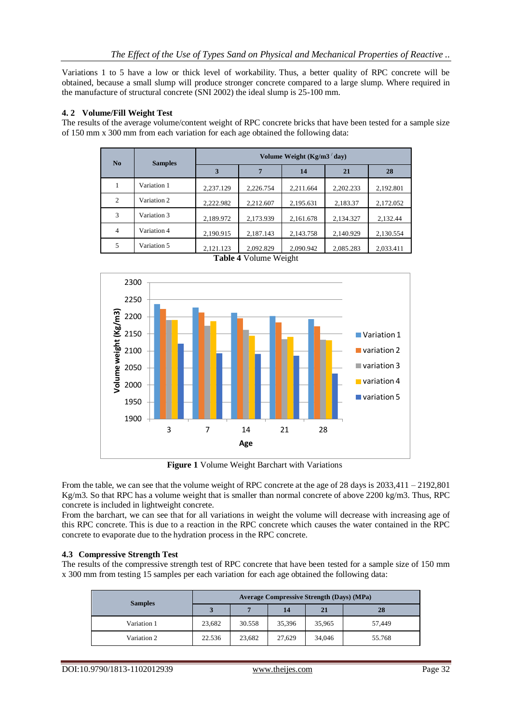Variations 1 to 5 have a low or thick level of workability. Thus, a better quality of RPC concrete will be obtained, because a small slump will produce stronger concrete compared to a large slump. Where required in the manufacture of structural concrete (SNI 2002) the ideal slump is 25-100 mm.

## **4. 2 Volume/Fill Weight Test**

The results of the average volume/content weight of RPC concrete bricks that have been tested for a sample size of 150 mm x 300 mm from each variation for each age obtained the following data:

| N <sub>0</sub> | <b>Samples</b> | Volume Weight $(Kg/m3'$ day) |           |           |           |           |  |  |  |  |
|----------------|----------------|------------------------------|-----------|-----------|-----------|-----------|--|--|--|--|
|                |                | 3                            | 7         | 14        | 21        | 28        |  |  |  |  |
|                | Variation 1    | 2,237.129                    | 2,226.754 | 2,211.664 | 2,202.233 | 2,192.801 |  |  |  |  |
| 2              | Variation 2    | 2,222.982                    | 2,212.607 | 2,195.631 | 2,183.37  | 2,172.052 |  |  |  |  |
| 3              | Variation 3    | 2,189.972                    | 2,173.939 | 2,161.678 | 2,134.327 | 2,132.44  |  |  |  |  |
| $\overline{4}$ | Variation 4    | 2,190.915                    | 2,187.143 | 2,143.758 | 2,140.929 | 2,130.554 |  |  |  |  |
| 5              | Variation 5    | 2,121.123                    | 2,092.829 | 2,090.942 | 2,085.283 | 2,033.411 |  |  |  |  |



**Table 4** Volume Weight

**Figure 1** Volume Weight Barchart with Variations

From the table, we can see that the volume weight of RPC concrete at the age of 28 days is 2033,411 – 2192,801 Kg/m3. So that RPC has a volume weight that is smaller than normal concrete of above 2200 kg/m3. Thus, RPC concrete is included in lightweight concrete.

From the barchart, we can see that for all variations in weight the volume will decrease with increasing age of this RPC concrete. This is due to a reaction in the RPC concrete which causes the water contained in the RPC concrete to evaporate due to the hydration process in the RPC concrete.

#### **4.3 Compressive Strength Test**

The results of the compressive strength test of RPC concrete that have been tested for a sample size of 150 mm x 300 mm from testing 15 samples per each variation for each age obtained the following data:

| <b>Samples</b> | <b>Average Compressive Strength (Days) (MPa)</b> |        |        |        |        |  |  |
|----------------|--------------------------------------------------|--------|--------|--------|--------|--|--|
|                | 3                                                |        | 14     | 21     | 28     |  |  |
| Variation 1    | 23,682                                           | 30.558 | 35,396 | 35,965 | 57.449 |  |  |
| Variation 2    | 22.536                                           | 23.682 | 27.629 | 34,046 | 55.768 |  |  |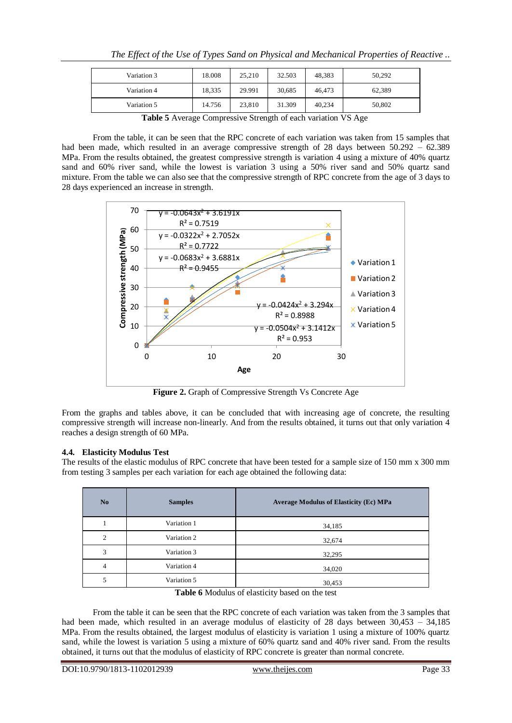|             |        |        | <b>Table <math>\mathbf{F}</math></b> Arrange Commessive Strength of each vertices $\mathbf{V}^{\mathbf{C}}$ Age |        |        |  |  |  |
|-------------|--------|--------|-----------------------------------------------------------------------------------------------------------------|--------|--------|--|--|--|
| Variation 5 | 14.756 | 23,810 | 31.309                                                                                                          | 40.234 | 50,802 |  |  |  |
| Variation 4 | 18.335 | 29.991 | 30.685                                                                                                          | 46.473 | 62.389 |  |  |  |
| Variation 3 | 18.008 | 25.210 | 32.503                                                                                                          | 48.383 | 50.292 |  |  |  |
|             |        |        |                                                                                                                 |        |        |  |  |  |

**Table 5** Average Compressive Strength of each variation VS Age

From the table, it can be seen that the RPC concrete of each variation was taken from 15 samples that had been made, which resulted in an average compressive strength of 28 days between 50.292 – 62.389 MPa. From the results obtained, the greatest compressive strength is variation 4 using a mixture of 40% quartz sand and 60% river sand, while the lowest is variation 3 using a 50% river sand and 50% quartz sand mixture. From the table we can also see that the compressive strength of RPC concrete from the age of 3 days to 28 days experienced an increase in strength.



**Figure 2.** Graph of Compressive Strength Vs Concrete Age

From the graphs and tables above, it can be concluded that with increasing age of concrete, the resulting compressive strength will increase non-linearly. And from the results obtained, it turns out that only variation 4 reaches a design strength of 60 MPa.

# **4.4. Elasticity Modulus Test**

The results of the elastic modulus of RPC concrete that have been tested for a sample size of 150 mm x 300 mm from testing 3 samples per each variation for each age obtained the following data:

| N <sub>o</sub> | <b>Samples</b>                  | <b>Average Modulus of Elasticity (Ec) MPa</b> |
|----------------|---------------------------------|-----------------------------------------------|
|                | Variation 1                     | 34,185                                        |
| $\overline{c}$ | Variation 2                     | 32,674                                        |
| 3              | Variation 3                     | 32,295                                        |
| 4              | Variation 4                     | 34,020                                        |
| 5              | Variation 5<br>__ _ _ _ _ _ _ _ | 30,453<br>.                                   |

From the table it can be seen that the RPC concrete of each variation was taken from the 3 samples that had been made, which resulted in an average modulus of elasticity of 28 days between 30,453 – 34,185 MPa. From the results obtained, the largest modulus of elasticity is variation 1 using a mixture of 100% quartz sand, while the lowest is variation 5 using a mixture of 60% quartz sand and 40% river sand. From the results obtained, it turns out that the modulus of elasticity of RPC concrete is greater than normal concrete.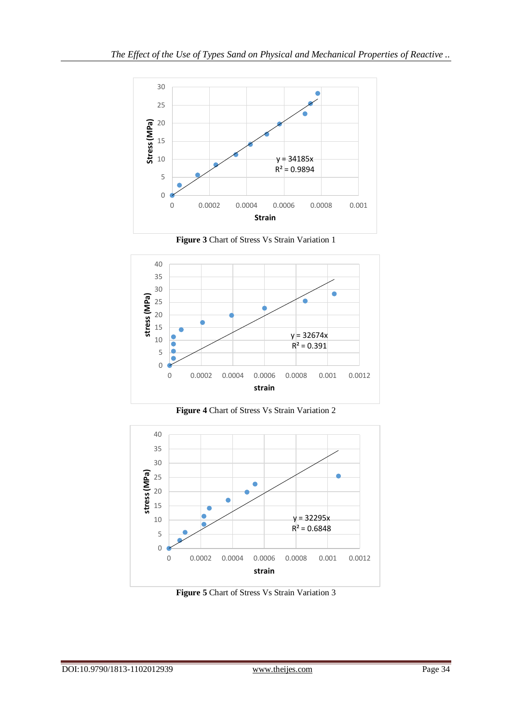

**Figure 3** Chart of Stress Vs Strain Variation 1



**Figure 4** Chart of Stress Vs Strain Variation 2



**Figure 5** Chart of Stress Vs Strain Variation 3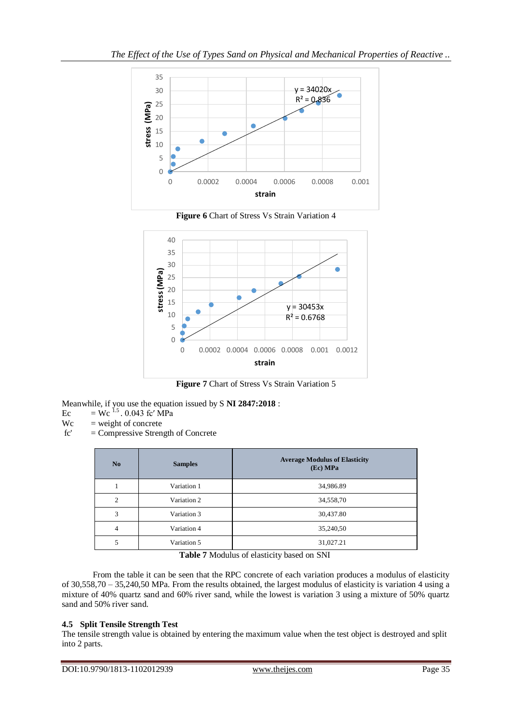

**Figure 6** Chart of Stress Vs Strain Variation 4



**Figure 7** Chart of Stress Vs Strain Variation 5

Meanwhile, if you use the equation issued by S **NI 2847:2018** :

- Ec = Wc  $^{1.5}$ . 0.043 fc' MPa
- $Wc = weight of concrete$
- fc' = Compressive Strength of Concrete

| No             | <b>Samples</b> | <b>Average Modulus of Elasticity</b><br>(Ec) MPa |
|----------------|----------------|--------------------------------------------------|
|                | Variation 1    | 34,986.89                                        |
| $\overline{c}$ | Variation 2    | 34,558,70                                        |
| 3              | Variation 3    | 30,437.80                                        |
| $\overline{4}$ | Variation 4    | 35,240,50                                        |
| 5              | Variation 5    | 31,027.21                                        |

**Table 7** Modulus of elasticity based on SNI

From the table it can be seen that the RPC concrete of each variation produces a modulus of elasticity of 30,558,70 – 35,240,50 MPa. From the results obtained, the largest modulus of elasticity is variation 4 using a mixture of 40% quartz sand and 60% river sand, while the lowest is variation 3 using a mixture of 50% quartz sand and 50% river sand.

## **4.5 Split Tensile Strength Test**

The tensile strength value is obtained by entering the maximum value when the test object is destroyed and split into 2 parts.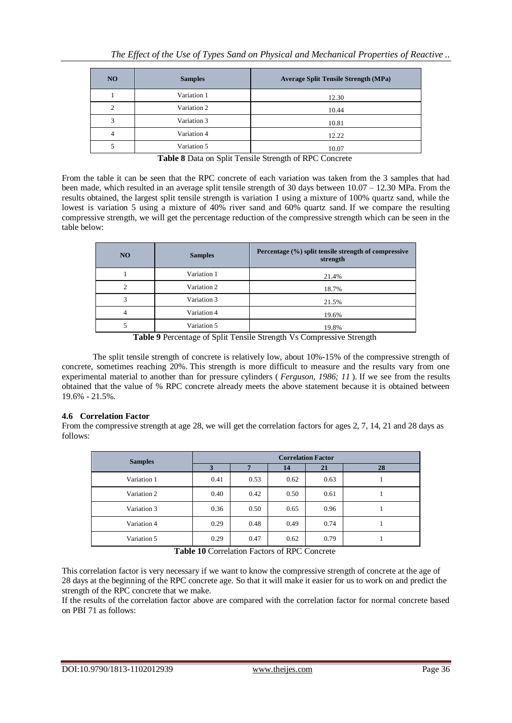| N <sub>O</sub> | <b>Samples</b> | <b>Average Split Tensile Strength (MPa)</b> |
|----------------|----------------|---------------------------------------------|
|                | Variation 1    | 12.30                                       |
|                | Variation 2    | 10.44                                       |
|                | Variation 3    | 10.81                                       |
|                | Variation 4    | 12.22                                       |
|                | Variation 5    | 10.07                                       |

**Table 8** Data on Split Tensile Strength of RPC Concrete

From the table it can be seen that the RPC concrete of each variation was taken from the 3 samples that had been made, which resulted in an average split tensile strength of 30 days between 10.07 – 12.30 MPa. From the results obtained, the largest split tensile strength is variation 1 using a mixture of 100% quartz sand, while the lowest is variation 5 using a mixture of 40% river sand and 60% quartz sand. If we compare the resulting compressive strength, we will get the percentage reduction of the compressive strength which can be seen in the table below:

| N <sub>O</sub> | <b>Samples</b> | Percentage (%) split tensile strength of compressive<br>strength |
|----------------|----------------|------------------------------------------------------------------|
|                | Variation 1    | 21.4%                                                            |
| ◠              | Variation 2    | 18.7%                                                            |
| 3              | Variation 3    | 21.5%                                                            |
|                | Variation 4    | 19.6%                                                            |
|                | Variation 5    | 19.8%                                                            |

**Table 9** Percentage of Split Tensile Strength Vs Compressive Strength

The split tensile strength of concrete is relatively low, about 10%-15% of the compressive strength of concrete, sometimes reaching 20%. This strength is more difficult to measure and the results vary from one experimental material to another than for pressure cylinders ( *Ferguson, 1986; 11* ). If we see from the results obtained that the value of % RPC concrete already meets the above statement because it is obtained between 19.6% - 21.5%.

## **4.6 Correlation Factor**

From the compressive strength at age 28, we will get the correlation factors for ages 2, 7, 14, 21 and 28 days as follows:

| <b>Samples</b> |      |      |      |      |    |
|----------------|------|------|------|------|----|
|                | 3    | -    | 14   | 21   | 28 |
| Variation 1    | 0.41 | 0.53 | 0.62 | 0.63 |    |
| Variation 2    | 0.40 | 0.42 | 0.50 | 0.61 |    |
| Variation 3    | 0.36 | 0.50 | 0.65 | 0.96 |    |
| Variation 4    | 0.29 | 0.48 | 0.49 | 0.74 |    |
| Variation 5    | 0.29 | 0.47 | 0.62 | 0.79 |    |

**Table 10** Correlation Factors of RPC Concrete

This correlation factor is very necessary if we want to know the compressive strength of concrete at the age of 28 days at the beginning of the RPC concrete age. So that it will make it easier for us to work on and predict the strength of the RPC concrete that we make.

If the results of the correlation factor above are compared with the correlation factor for normal concrete based on PBI 71 as follows: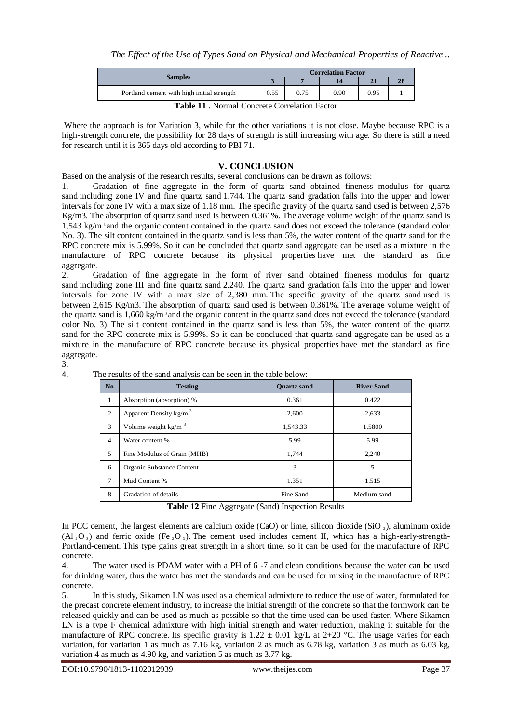|                                            | <b>Correlation Factor</b> |      |      |      |    |  |
|--------------------------------------------|---------------------------|------|------|------|----|--|
| <b>Samples</b>                             |                           |      |      |      | 28 |  |
| Portland cement with high initial strength |                           | 0.75 | 0.90 | 0.95 |    |  |

**Table 11** . Normal Concrete Correlation Factor

Where the approach is for Variation 3, while for the other variations it is not close. Maybe because RPC is a high-strength concrete, the possibility for 28 days of strength is still increasing with age. So there is still a need for research until it is 365 days old according to PBI 71.

# **V. CONCLUSION**

Based on the analysis of the research results, several conclusions can be drawn as follows:

1. Gradation of fine aggregate in the form of quartz sand obtained fineness modulus for quartz sand including zone IV and fine quartz sand 1.744. The quartz sand gradation falls into the upper and lower intervals for zone IV with a max size of 1.18 mm. The specific gravity of the quartz sand used is between 2,576 Kg/m3. The absorption of quartz sand used is between 0.361%. The average volume weight of the quartz sand is 1,543 kg/m <sup>3</sup> and the organic content contained in the quartz sand does not exceed the tolerance (standard color No. 3). The silt content contained in the quartz sand is less than 5%, the water content of the quartz sand for the RPC concrete mix is 5.99%. So it can be concluded that quartz sand aggregate can be used as a mixture in the manufacture of RPC concrete because its physical properties have met the standard as fine aggregate.

2. Gradation of fine aggregate in the form of river sand obtained fineness modulus for quartz sand including zone III and fine quartz sand 2.240. The quartz sand gradation falls into the upper and lower intervals for zone IV with a max size of 2,380 mm. The specific gravity of the quartz sand used is between 2,615 Kg/m3. The absorption of quartz sand used is between 0.361%. The average volume weight of the quartz sand is 1,660 kg/m <sup>3</sup> and the organic content in the quartz sand does not exceed the tolerance (standard color No. 3). The silt content contained in the quartz sand is less than 5%, the water content of the quartz sand for the RPC concrete mix is 5.99%. So it can be concluded that quartz sand aggregate can be used as a mixture in the manufacture of RPC concrete because its physical properties have met the standard as fine aggregate.

3.

| No             | <b>Testing</b>                | <b>Ouartz sand</b> | <b>River Sand</b> |
|----------------|-------------------------------|--------------------|-------------------|
| $\mathbf{1}$   | Absorption (absorption) %     | 0.361              | 0.422             |
| 2              | Apparent Density $kg/m3$      | 2.600              | 2,633             |
| 3              | Volume weight $\text{kg/m}^3$ | 1,543.33           | 1.5800            |
| $\overline{4}$ | Water content %               | 5.99               | 5.99              |
| 5              | Fine Modulus of Grain (MHB)   | 1.744              | 2.240             |
| 6              | Organic Substance Content     | 3                  | 5                 |
| 7              | Mud Content %                 | 1.351              | 1.515             |
| 8              | Gradation of details          | Fine Sand          | Medium sand       |

4. The results of the sand analysis can be seen in the table below:

**Table 12** Fine Aggregate (Sand) Inspection Results

In PCC cement, the largest elements are calcium oxide (CaO) or lime, silicon dioxide (SiO  $_2$ ), aluminum oxide (Al<sub>2</sub>O<sub>3</sub>) and ferric oxide (Fe<sub>2</sub>O<sub>3</sub>). The cement used includes cement II, which has a high-early-strength-Portland-cement. This type gains great strength in a short time, so it can be used for the manufacture of RPC concrete.

4. The water used is PDAM water with a PH of 6 -7 and clean conditions because the water can be used for drinking water, thus the water has met the standards and can be used for mixing in the manufacture of RPC concrete.

5. In this study, Sikamen LN was used as a chemical admixture to reduce the use of water, formulated for the precast concrete element industry, to increase the initial strength of the concrete so that the formwork can be released quickly and can be used as much as possible so that the time used can be used faster. Where Sikamen LN is a type F chemical admixture with high initial strength and water reduction, making it suitable for the manufacture of RPC concrete. Its specific gravity is  $1.22 \pm 0.01$  kg/L at  $2+20$  °C. The usage varies for each variation, for variation 1 as much as 7.16 kg, variation 2 as much as 6.78 kg, variation 3 as much as 6.03 kg, variation 4 as much as 4.90 kg, and variation 5 as much as 3.77 kg.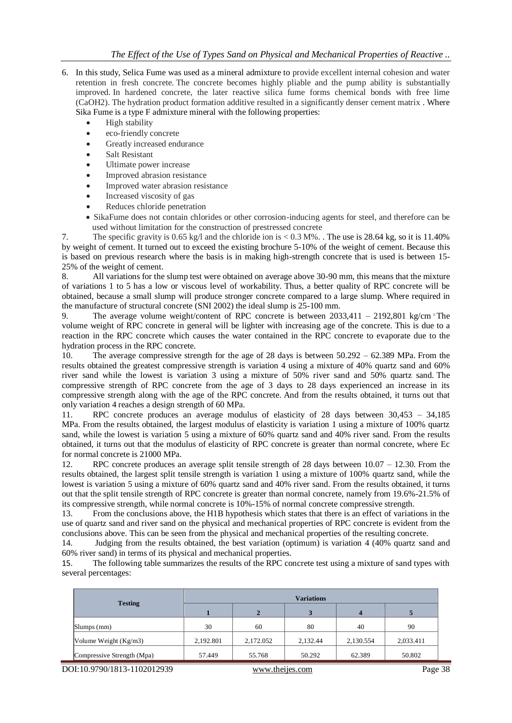- 6. In this study, Selica Fume was used as a mineral admixture to provide excellent internal cohesion and water retention in fresh concrete. The concrete becomes highly pliable and the pump ability is substantially improved. In hardened concrete, the later reactive silica fume forms chemical bonds with free lime (CaOH2). The hydration product formation additive resulted in a significantly denser cement matrix . Where Sika Fume is a type F admixture mineral with the following properties:
	- High stability
	- eco-friendly concrete
	- Greatly increased endurance
	- Salt Resistant
	- Ultimate power increase
	- Improved abrasion resistance
	- Improved water abrasion resistance
	- Increased viscosity of gas
	- Reduces chloride penetration
	- SikaFume does not contain chlorides or other corrosion-inducing agents for steel, and therefore can be used without limitation for the construction of prestressed concrete

7. The specific gravity is 0.65 kg/l and the chloride ion is < 0.3 M%. . The use is 28.64 kg, so it is 11.40% by weight of cement. It turned out to exceed the existing brochure 5-10% of the weight of cement. Because this is based on previous research where the basis is in making high-strength concrete that is used is between 15- 25% of the weight of cement.

8. All variations for the slump test were obtained on average above 30-90 mm, this means that the mixture of variations 1 to 5 has a low or viscous level of workability. Thus, a better quality of RPC concrete will be obtained, because a small slump will produce stronger concrete compared to a large slump. Where required in the manufacture of structural concrete (SNI 2002) the ideal slump is 25-100 mm.

9. The average volume weight/content of RPC concrete is between  $2033.411 - 2192.801 \text{ kg/cm}$ <sup>3</sup>The volume weight of RPC concrete in general will be lighter with increasing age of the concrete. This is due to a reaction in the RPC concrete which causes the water contained in the RPC concrete to evaporate due to the hydration process in the RPC concrete.

10. The average compressive strength for the age of 28 days is between 50.292 – 62.389 MPa. From the results obtained the greatest compressive strength is variation 4 using a mixture of 40% quartz sand and 60% river sand while the lowest is variation 3 using a mixture of 50% river sand and 50% quartz sand. The compressive strength of RPC concrete from the age of 3 days to 28 days experienced an increase in its compressive strength along with the age of the RPC concrete. And from the results obtained, it turns out that only variation 4 reaches a design strength of 60 MPa.

11. RPC concrete produces an average modulus of elasticity of 28 days between 30,453 – 34,185 MPa. From the results obtained, the largest modulus of elasticity is variation 1 using a mixture of 100% quartz sand, while the lowest is variation 5 using a mixture of 60% quartz sand and 40% river sand. From the results obtained, it turns out that the modulus of elasticity of RPC concrete is greater than normal concrete, where Ec for normal concrete is 21000 MPa.

12. RPC concrete produces an average split tensile strength of 28 days between 10.07 – 12.30. From the results obtained, the largest split tensile strength is variation 1 using a mixture of 100% quartz sand, while the lowest is variation 5 using a mixture of 60% quartz sand and 40% river sand. From the results obtained, it turns out that the split tensile strength of RPC concrete is greater than normal concrete, namely from 19.6%-21.5% of its compressive strength, while normal concrete is 10%-15% of normal concrete compressive strength.

13. From the conclusions above, the H1B hypothesis which states that there is an effect of variations in the use of quartz sand and river sand on the physical and mechanical properties of RPC concrete is evident from the conclusions above. This can be seen from the physical and mechanical properties of the resulting concrete.

14. Judging from the results obtained, the best variation (optimum) is variation 4 (40% quartz sand and 60% river sand) in terms of its physical and mechanical properties.

15. The following table summarizes the results of the RPC concrete test using a mixture of sand types with several percentages:

|                            | <b>Variations</b> |           |          |           |           |  |
|----------------------------|-------------------|-----------|----------|-----------|-----------|--|
| <b>Testing</b>             |                   | 2         |          | 4         |           |  |
| Slumps (mm)                | 30                | 60        | 80       | 40        | 90        |  |
| Volume Weight $(Kg/m3)$    | 2,192.801         | 2,172.052 | 2,132.44 | 2,130.554 | 2,033.411 |  |
| Compressive Strength (Mpa) | 57.449            | 55.768    | 50.292   | 62.389    | 50.802    |  |